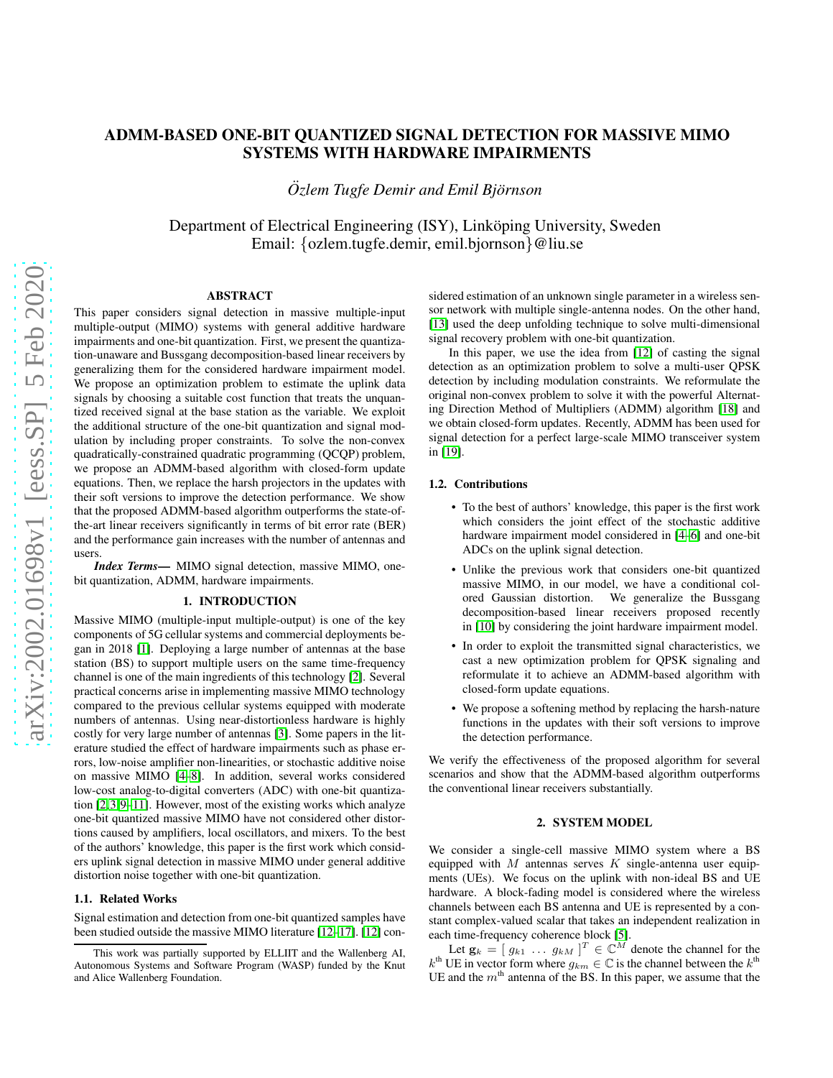# ADMM-BASED ONE-BIT QUANTIZED SIGNAL DETECTION FOR MASSIVE MIMO SYSTEMS WITH HARDWARE IMPAIRMENTS

*<u>Ozlem Tugfe Demir and Emil Björnson</u>* 

Department of Electrical Engineering (ISY), Linköping University, Sweden Email: {ozlem.tugfe.demir, emil.bjornson}@liu.se

## ABSTRACT

This paper considers signal detection in massive multiple-input multiple-output (MIMO) systems with general additive hardware impairments and one-bit quantization. First, we present the quantization-unaware and Bussgang decomposition-based linear receivers by generalizing them for the considered hardware impairment model. We propose an optimization problem to estimate the uplink data signals by choosing a suitable cost function that treats the unquantized received signal at the base station as the variable. We exploit the additional structure of the one-bit quantization and signal modulation by including proper constraints. To solve the non-convex quadratically-constrained quadratic programming (QCQP) problem, we propose an ADMM-based algorithm with closed-form update equations. Then, we replace the harsh projectors in the updates with their soft versions to improve the detection performance. We show that the proposed ADMM-based algorithm outperforms the state-ofthe-art linear receivers significantly in terms of bit error rate (BER) and the performance gain increases with the number of antennas and users.

*Index Terms*— MIMO signal detection, massive MIMO, onebit quantization, ADMM, hardware impairments.

## 1. INTRODUCTION

Massive MIMO (multiple-input multiple-output) is one of the key components of 5G cellular systems and commercial deployments began in 2018 [\[1\]](#page-4-0). Deploying a large number of antennas at the base station (BS) to support multiple users on the same time-frequency channel is one of the main ingredients of this technology [\[2\]](#page-4-1). Several practical concerns arise in implementing massive MIMO technology compared to the previous cellular systems equipped with moderate numbers of antennas. Using near-distortionless hardware is highly costly for very large number of antennas [\[3\]](#page-4-2). Some papers in the literature studied the effect of hardware impairments such as phase errors, low-noise amplifier non-linearities, or stochastic additive noise on massive MIMO [\[4–](#page-4-3)[8\]](#page-4-4). In addition, several works considered low-cost analog-to-digital converters (ADC) with one-bit quantization [\[2,](#page-4-1)[3,](#page-4-2)[9–](#page-4-5)[11\]](#page-4-6). However, most of the existing works which analyze one-bit quantized massive MIMO have not considered other distortions caused by amplifiers, local oscillators, and mixers. To the best of the authors' knowledge, this paper is the first work which considers uplink signal detection in massive MIMO under general additive distortion noise together with one-bit quantization.

# 1.1. Related Works

Signal estimation and detection from one-bit quantized samples have been studied outside the massive MIMO literature [\[12](#page-4-7)[–17\]](#page-4-8). [\[12\]](#page-4-7) considered estimation of an unknown single parameter in a wireless sensor network with multiple single-antenna nodes. On the other hand, [\[13\]](#page-4-9) used the deep unfolding technique to solve multi-dimensional signal recovery problem with one-bit quantization.

In this paper, we use the idea from [\[12\]](#page-4-7) of casting the signal detection as an optimization problem to solve a multi-user QPSK detection by including modulation constraints. We reformulate the original non-convex problem to solve it with the powerful Alternating Direction Method of Multipliers (ADMM) algorithm [\[18\]](#page-4-10) and we obtain closed-form updates. Recently, ADMM has been used for signal detection for a perfect large-scale MIMO transceiver system in [\[19\]](#page-4-11).

## 1.2. Contributions

- To the best of authors' knowledge, this paper is the first work which considers the joint effect of the stochastic additive hardware impairment model considered in [\[4–](#page-4-3)[6\]](#page-4-12) and one-bit ADCs on the uplink signal detection.
- Unlike the previous work that considers one-bit quantized massive MIMO, in our model, we have a conditional colored Gaussian distortion. We generalize the Bussgang decomposition-based linear receivers proposed recently in [\[10\]](#page-4-13) by considering the joint hardware impairment model.
- In order to exploit the transmitted signal characteristics, we cast a new optimization problem for QPSK signaling and reformulate it to achieve an ADMM-based algorithm with closed-form update equations.
- We propose a softening method by replacing the harsh-nature functions in the updates with their soft versions to improve the detection performance.

We verify the effectiveness of the proposed algorithm for several scenarios and show that the ADMM-based algorithm outperforms the conventional linear receivers substantially.

## 2. SYSTEM MODEL

We consider a single-cell massive MIMO system where a BS equipped with  $M$  antennas serves  $K$  single-antenna user equipments (UEs). We focus on the uplink with non-ideal BS and UE hardware. A block-fading model is considered where the wireless channels between each BS antenna and UE is represented by a constant complex-valued scalar that takes an independent realization in each time-frequency coherence block [\[5\]](#page-4-14).

Let  $\mathbf{g}_k = \begin{bmatrix} g_{k1} & \cdots & g_{kM} \end{bmatrix}^T \in \mathbb{C}^M$  denote the channel for the  $k^{\text{th}}$  UE in vector form where  $g_{km} \in \mathbb{C}$  is the channel between the  $k^{\text{th}}$ UE and the  $m<sup>th</sup>$  antenna of the BS. In this paper, we assume that the

This work was partially supported by ELLIIT and the Wallenberg AI, Autonomous Systems and Software Program (WASP) funded by the Knut and Alice Wallenberg Foundation.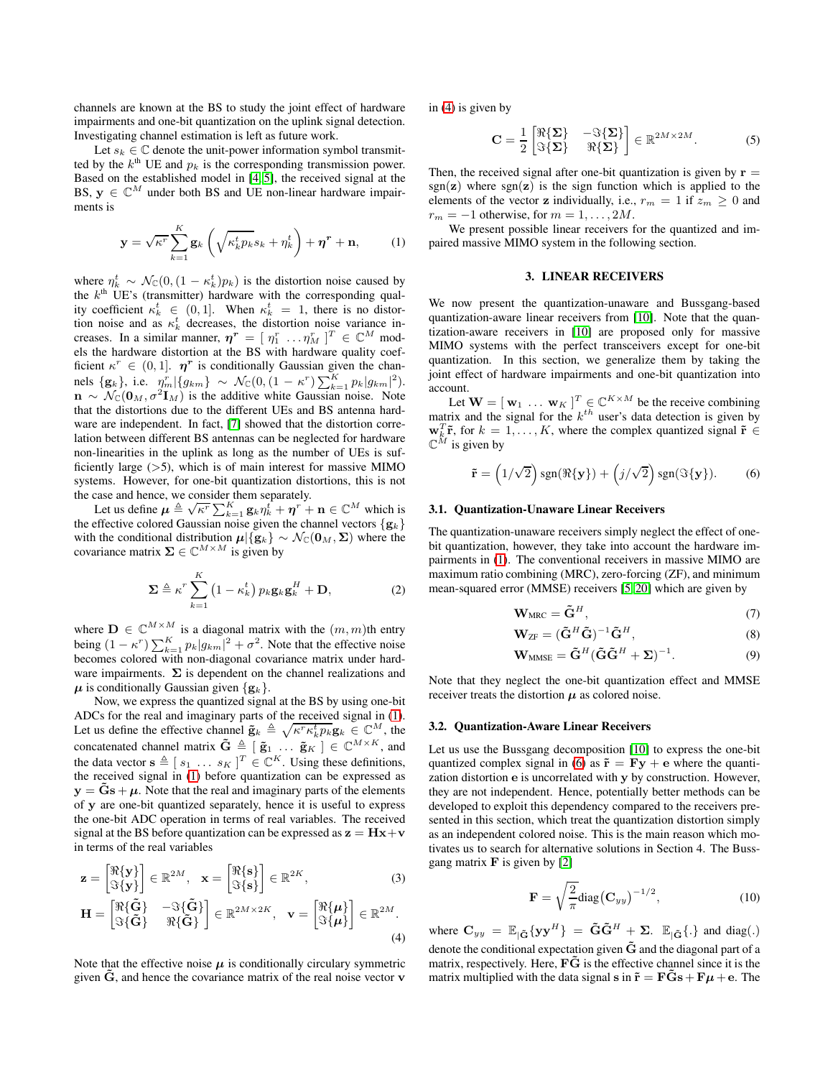channels are known at the BS to study the joint effect of hardware impairments and one-bit quantization on the uplink signal detection. Investigating channel estimation is left as future work.

Let  $s_k \in \mathbb{C}$  denote the unit-power information symbol transmitted by the  $k^{\text{th}}$  UE and  $p_k$  is the corresponding transmission power. Based on the established model in [\[4,](#page-4-3) [5\]](#page-4-14), the received signal at the BS,  $y \in \mathbb{C}^M$  under both BS and UE non-linear hardware impairments is

$$
\mathbf{y} = \sqrt{\kappa^r} \sum_{k=1}^K \mathbf{g}_k \left( \sqrt{\kappa_k^t p_k} s_k + \eta_k^t \right) + \boldsymbol{\eta}^r + \mathbf{n}, \qquad (1)
$$

where  $\eta_k^t \sim \mathcal{N}_{\mathbb{C}}(0, (1 - \kappa_k^t) p_k)$  is the distortion noise caused by the  $k<sup>th</sup>$  UE's (transmitter) hardware with the corresponding quality coefficient  $\kappa_k^t \in (0,1]$ . When  $\kappa_k^t = 1$ , there is no distortion noise and as  $\kappa_k^t$  decreases, the distortion noise variance increases. In a similar manner,  $\boldsymbol{\eta}^{\boldsymbol{r}} = [\eta_1^r \dots \eta_M^r]^T \in \mathbb{C}^M$  models the hardware distortion at the BS with hardware quality coefficient  $\kappa^r \in (0, 1]$ .  $\eta^r$  is conditionally Gaussian given the channels  $\{g_k\}$ , i.e.  $\eta_m^r |\{g_{km}\} \sim \mathcal{N}_{\mathbb{C}}(0, (1 - \kappa^r) \sum_{k=1}^K p_k |g_{km}|^2)$ .  $\mathbf{n} \sim \mathcal{N}_{\mathbb{C}}(\mathbf{0}_M, \sigma^2 \mathbf{I}_M)$  is the additive white Gaussian noise. Note that the distortions due to the different UEs and BS antenna hardware are independent. In fact, [\[7\]](#page-4-15) showed that the distortion correlation between different BS antennas can be neglected for hardware non-linearities in the uplink as long as the number of UEs is sufficiently large  $(>5)$ , which is of main interest for massive MIMO systems. However, for one-bit quantization distortions, this is not the case and hence, we consider them separately.

Let us define  $\mu \triangleq \sqrt{\kappa^r} \sum_{k=1}^K g_k \eta_k^t + \eta^r + \mathbf{n} \in \mathbb{C}^M$  which is the effective colored Gaussian noise given the channel vectors  $\{g_k\}$ with the conditional distribution  $\mu | {\bf{g}}_k \} \sim \mathcal{N}_{\mathbb{C}}({\bf{0}}_M, \Sigma)$  where the covariance matrix  $\Sigma \in \mathbb{C}^{M \times M}$  is given by

$$
\Sigma \triangleq \kappa^r \sum_{k=1}^K \left(1 - \kappa_k^t\right) p_k \mathbf{g}_k \mathbf{g}_k^H + \mathbf{D},\tag{2}
$$

where  $\mathbf{D} \in \mathbb{C}^{M \times M}$  is a diagonal matrix with the  $(m, m)$ th entry being  $(1 - \kappa^r) \sum_{k=1}^K p_k |g_{km}|^2 + \sigma^2$ . Note that the effective noise becomes colored with non-diagonal covariance matrix under hardware impairments.  $\Sigma$  is dependent on the channel realizations and  $\mu$  is conditionally Gaussian given  $\{g_k\}.$ 

Now, we express the quantized signal at the BS by using one-bit ADCs for the real and imaginary parts of the received signal in [\(1\)](#page-1-0). Let us define the effective channel  $\tilde{\mathbf{g}}_k \triangleq \sqrt{\kappa^r \kappa_k^t p_k} \mathbf{g}_k \in \mathbb{C}^M$ , the concatenated channel matrix  $\tilde{G} \triangleq [\tilde{g}_1 \dots \tilde{g}_K] \in \mathbb{C}^{M \times K}$ , and the data vector  $\mathbf{s} \triangleq [s_1 \dots s_K]^T \in \mathbb{C}^K$ . Using these definitions, the received signal in [\(1\)](#page-1-0) before quantization can be expressed as  $y = \tilde{G}s + \mu$ . Note that the real and imaginary parts of the elements of y are one-bit quantized separately, hence it is useful to express the one-bit ADC operation in terms of real variables. The received signal at the BS before quantization can be expressed as  $z = Hx + v$ in terms of the real variables

$$
\mathbf{z} = \begin{bmatrix} \Re\{\mathbf{y}\} \\ \Im\{\mathbf{y}\} \end{bmatrix} \in \mathbb{R}^{2M}, \quad \mathbf{x} = \begin{bmatrix} \Re\{\mathbf{s}\} \\ \Im\{\mathbf{s}\} \end{bmatrix} \in \mathbb{R}^{2K}, \tag{3}
$$

$$
\mathbf{H} = \begin{bmatrix} \Re{\{\mathbf{\tilde{G}}\}} & -\Im{\{\mathbf{\tilde{G}}\}} \\ \Im{\{\mathbf{\tilde{G}}\}} & \Re{\{\mathbf{\tilde{G}}\}} \end{bmatrix} \in \mathbb{R}^{2M \times 2K}, \quad \mathbf{v} = \begin{bmatrix} \Re{\{\boldsymbol{\mu}\}} \\ \Im{\{\boldsymbol{\mu}\}} \end{bmatrix} \in \mathbb{R}^{2M}.
$$
\n(4)

Note that the effective noise  $\mu$  is conditionally circulary symmetric given  $\tilde{G}$ , and hence the covariance matrix of the real noise vector  $\bf{v}$ 

in [\(4\)](#page-1-1) is given by

$$
\mathbf{C} = \frac{1}{2} \begin{bmatrix} \Re{\Sigma} & -\Im{\Sigma} \\ \Im{\Sigma} & \Re{\Sigma} \end{bmatrix} \in \mathbb{R}^{2M \times 2M}.
$$
 (5)

Then, the received signal after one-bit quantization is given by  $\mathbf{r} =$  $sgn(z)$  where  $sgn(z)$  is the sign function which is applied to the elements of the vector **z** individually, i.e.,  $r_m = 1$  if  $z_m \geq 0$  and  $r_m = -1$  otherwise, for  $m = 1, \ldots, 2M$ .

<span id="page-1-0"></span>We present possible linear receivers for the quantized and impaired massive MIMO system in the following section.

## 3. LINEAR RECEIVERS

We now present the quantization-unaware and Bussgang-based quantization-aware linear receivers from [\[10\]](#page-4-13). Note that the quantization-aware receivers in [\[10\]](#page-4-13) are proposed only for massive MIMO systems with the perfect transceivers except for one-bit quantization. In this section, we generalize them by taking the joint effect of hardware impairments and one-bit quantization into account.

Let  $\mathbf{W} = [\mathbf{w}_1 \dots \mathbf{w}_K]^T \in \mathbb{C}^{K \times M}$  be the receive combining matrix and the signal for the  $k^{th}$  user's data detection is given by  $\mathbf{w}_k^T \tilde{\mathbf{r}}$ , for  $k = 1, ..., K$ , where the complex quantized signal  $\tilde{\mathbf{r}} \in$  $\mathbb{C}^M$  is given by

$$
\tilde{\mathbf{r}} = (1/\sqrt{2}) \operatorname{sgn}(\Re{\{\mathbf{y}\}}) + (j/\sqrt{2}) \operatorname{sgn}(\Im{\{\mathbf{y}\}}). \tag{6}
$$

#### 3.1. Quantization-Unaware Linear Receivers

The quantization-unaware receivers simply neglect the effect of onebit quantization, however, they take into account the hardware impairments in [\(1\)](#page-1-0). The conventional receivers in massive MIMO are maximum ratio combining (MRC), zero-forcing (ZF), and minimum mean-squared error (MMSE) receivers [\[5,](#page-4-14) [20\]](#page-4-16) which are given by

<span id="page-1-2"></span>
$$
\mathbf{W}_{\text{MRC}} = \tilde{\mathbf{G}}^H, \tag{7}
$$

$$
\mathbf{W}_{\text{ZF}} = (\tilde{\mathbf{G}}^H \tilde{\mathbf{G}})^{-1} \tilde{\mathbf{G}}^H,
$$
\n(8)

$$
\mathbf{W}_{MMSE} = \tilde{\mathbf{G}}^{H} (\tilde{\mathbf{G}} \tilde{\mathbf{G}}^{H} + \Sigma)^{-1}.
$$
 (9)

Note that they neglect the one-bit quantization effect and MMSE receiver treats the distortion  $\mu$  as colored noise.

#### 3.2. Quantization-Aware Linear Receivers

Let us use the Bussgang decomposition [\[10\]](#page-4-13) to express the one-bit quantized complex signal in [\(6\)](#page-1-2) as  $\tilde{\mathbf{r}} = \mathbf{F}\mathbf{y} + \mathbf{e}$  where the quantization distortion e is uncorrelated with y by construction. However, they are not independent. Hence, potentially better methods can be developed to exploit this dependency compared to the receivers presented in this section, which treat the quantization distortion simply as an independent colored noise. This is the main reason which motivates us to search for alternative solutions in Section 4. The Bussgang matrix  $\bf{F}$  is given by [\[2\]](#page-4-1)

$$
\mathbf{F} = \sqrt{\frac{2}{\pi}} \text{diag}(\mathbf{C}_{yy})^{-1/2},\tag{10}
$$

<span id="page-1-3"></span><span id="page-1-1"></span>where  $\mathbf{C}_{yy} = \mathbb{E}_{|\tilde{\mathbf{G}}}\{\mathbf{y}\mathbf{y}^H\} = \tilde{\mathbf{G}}\tilde{\mathbf{G}}^H + \Sigma$ .  $\mathbb{E}_{|\tilde{\mathbf{G}}}\{\cdot\}$  and diag(.) denote the conditional expectation given  $\tilde{G}$  and the diagonal part of a matrix, respectively. Here,  $\tilde{F}$  is the effective channel since it is the matrix multiplied with the data signal s in  $\tilde{\mathbf{r}} = \mathbf{F}\tilde{\mathbf{G}}\mathbf{s} + \mathbf{F}\boldsymbol{\mu} + \mathbf{e}$ . The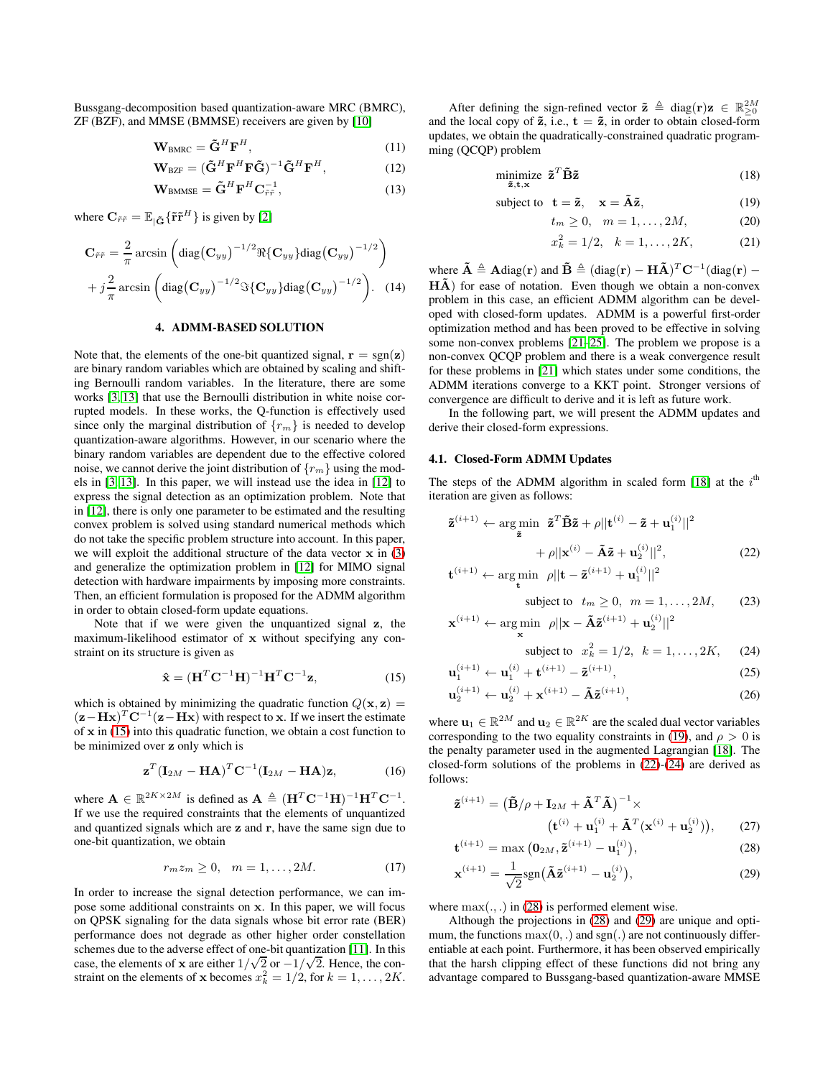Bussgang-decomposition based quantization-aware MRC (BMRC), ZF (BZF), and MMSE (BMMSE) receivers are given by [\[10\]](#page-4-13)

$$
\mathbf{W}_{\text{BMRC}} = \tilde{\mathbf{G}}^H \mathbf{F}^H, \tag{11}
$$

$$
\mathbf{W}_{\text{BZF}} = (\tilde{\mathbf{G}}^H \mathbf{F}^H \mathbf{F} \tilde{\mathbf{G}})^{-1} \tilde{\mathbf{G}}^H \mathbf{F}^H, \tag{12}
$$

$$
\mathbf{W}_{\text{BMMSE}} = \tilde{\mathbf{G}}^H \mathbf{F}^H \mathbf{C}_{\tilde{r}\tilde{r}}^{-1},\tag{13}
$$

where  $\mathbf{C}_{\tilde{r}\tilde{r}} = \mathbb{E}_{|\tilde{\mathbf{G}}} \{ \tilde{\mathbf{r}} \tilde{\mathbf{r}}^H \}$  is given by [\[2\]](#page-4-1)

$$
\mathbf{C}_{\tilde{r}\tilde{r}} = \frac{2}{\pi} \arcsin \left( \text{diag}(\mathbf{C}_{yy})^{-1/2} \Re{\{\mathbf{C}_{yy}\}} \text{diag}(\mathbf{C}_{yy})^{-1/2} \right) + j\frac{2}{\pi} \arcsin \left( \text{diag}(\mathbf{C}_{yy})^{-1/2} \Im{\{\mathbf{C}_{yy}\}} \text{diag}(\mathbf{C}_{yy})^{-1/2} \right). \quad (14)
$$

## 4. ADMM-BASED SOLUTION

Note that, the elements of the one-bit quantized signal,  $\mathbf{r} = \text{sgn}(\mathbf{z})$ are binary random variables which are obtained by scaling and shifting Bernoulli random variables. In the literature, there are some works [\[3,](#page-4-2) [13\]](#page-4-9) that use the Bernoulli distribution in white noise corrupted models. In these works, the Q-function is effectively used since only the marginal distribution of  ${r_m}$  is needed to develop quantization-aware algorithms. However, in our scenario where the binary random variables are dependent due to the effective colored noise, we cannot derive the joint distribution of  $\{r_m\}$  using the models in [\[3,](#page-4-2) [13\]](#page-4-9). In this paper, we will instead use the idea in [\[12\]](#page-4-7) to express the signal detection as an optimization problem. Note that in [\[12\]](#page-4-7), there is only one parameter to be estimated and the resulting convex problem is solved using standard numerical methods which do not take the specific problem structure into account. In this paper, we will exploit the additional structure of the data vector  $x$  in  $(3)$ and generalize the optimization problem in [\[12\]](#page-4-7) for MIMO signal detection with hardware impairments by imposing more constraints. Then, an efficient formulation is proposed for the ADMM algorithm in order to obtain closed-form update equations.

Note that if we were given the unquantized signal z, the maximum-likelihood estimator of x without specifying any constraint on its structure is given as

$$
\hat{\mathbf{x}} = (\mathbf{H}^T \mathbf{C}^{-1} \mathbf{H})^{-1} \mathbf{H}^T \mathbf{C}^{-1} \mathbf{z},\tag{15}
$$

which is obtained by minimizing the quadratic function  $Q(\mathbf{x}, \mathbf{z}) =$  $(**z** – **Hx**)<sup>T</sup>**C**<sup>-1</sup>(**z** – **Hx**)$  with respect to **x**. If we insert the estimate of  $x$  in [\(15\)](#page-2-0) into this quadratic function, we obtain a cost function to be minimized over z only which is

$$
\mathbf{z}^T (\mathbf{I}_{2M} - \mathbf{H} \mathbf{A})^T \mathbf{C}^{-1} (\mathbf{I}_{2M} - \mathbf{H} \mathbf{A}) \mathbf{z}, \tag{16}
$$

where  $\mathbf{A} \in \mathbb{R}^{2K \times 2M}$  is defined as  $\mathbf{A} \triangleq (\mathbf{H}^T \mathbf{C}^{-1} \mathbf{H})^{-1} \mathbf{H}^T \mathbf{C}^{-1}$ . If we use the required constraints that the elements of unquantized and quantized signals which are z and r, have the same sign due to one-bit quantization, we obtain

$$
r_m z_m \ge 0, \quad m = 1, \dots, 2M. \tag{17}
$$

In order to increase the signal detection performance, we can impose some additional constraints on x. In this paper, we will focus on QPSK signaling for the data signals whose bit error rate (BER) performance does not degrade as other higher order constellation schemes due to the adverse effect of one-bit quantization [\[11\]](#page-4-6). In this case, the elements of x are either  $1/\sqrt{2}$  or  $-1/\sqrt{2}$ . Hence, the constraint on the elements of **x** becomes  $x_k^2 = 1/2$ , for  $k = 1, ..., 2K$ .

After defining the sign-refined vector  $\tilde{z} \triangleq diag(r)z \in \mathbb{R}_{\geq 0}^{2M}$ and the local copy of  $\tilde{z}$ , i.e.,  $t = \tilde{z}$ , in order to obtain closed-form updates, we obtain the quadratically-constrained quadratic programming (QCQP) problem

$$
\underset{\tilde{\mathbf{z}}, \mathbf{t}, \mathbf{x}}{\text{minimize}} \quad \tilde{\mathbf{z}}^T \tilde{\mathbf{B}} \tilde{\mathbf{z}} \tag{18}
$$

subject to 
$$
\mathbf{t} = \tilde{\mathbf{z}}, \quad \mathbf{x} = \tilde{\mathbf{A}}\tilde{\mathbf{z}},
$$
 (19)

$$
t_m \ge 0, \quad m = 1, \dots, 2M, \tag{20}
$$

<span id="page-2-1"></span>
$$
x_k^2 = 1/2, \quad k = 1, \dots, 2K,\tag{21}
$$

where  $\tilde{\mathbf{A}} \triangleq \mathbf{A} \text{diag}(\mathbf{r})$  and  $\tilde{\mathbf{B}} \triangleq (\text{diag}(\mathbf{r}) - \mathbf{H}\tilde{\mathbf{A}})^T \mathbf{C}^{-1}(\text{diag}(\mathbf{r}) - \mathbf{L}\tilde{\mathbf{A}})^T \mathbf{C}^{-1}$  $H\tilde{A}$ ) for ease of notation. Even though we obtain a non-convex problem in this case, an efficient ADMM algorithm can be developed with closed-form updates. ADMM is a powerful first-order optimization method and has been proved to be effective in solving some non-convex problems [\[21](#page-4-17)[–25\]](#page-4-18). The problem we propose is a non-convex QCQP problem and there is a weak convergence result for these problems in [\[21\]](#page-4-17) which states under some conditions, the ADMM iterations converge to a KKT point. Stronger versions of convergence are difficult to derive and it is left as future work.

In the following part, we will present the ADMM updates and derive their closed-form expressions.

#### 4.1. Closed-Form ADMM Updates

The steps of the ADMM algorithm in scaled form [\[18\]](#page-4-10) at the  $i<sup>th</sup>$ iteration are given as follows:

$$
\tilde{\mathbf{z}}^{(i+1)} \leftarrow \arg\min_{\tilde{\mathbf{z}}} \quad \tilde{\mathbf{z}}^T \tilde{\mathbf{B}} \tilde{\mathbf{z}} + \rho ||\mathbf{t}^{(i)} - \tilde{\mathbf{z}} + \mathbf{u}_1^{(i)}||^2
$$

$$
+ \rho ||\mathbf{x}^{(i)} - \tilde{\mathbf{A}} \tilde{\mathbf{z}} + \mathbf{u}_2^{(i)}||^2,
$$
(22)
$$
\mathbf{t}^{(i+1)} \leftarrow \arg\min_{\rho} ||\mathbf{t} - \tilde{\mathbf{z}}^{(i+1)} + \mathbf{u}_1^{(i)}||^2
$$

$$
^{(i+1)} \leftarrow \mathop{\arg\min}\limits_{\mathbf{t}} \rho ||\mathbf{t} - \tilde{\mathbf{z}}^{(i+1)} + \mathbf{u}_{1}^{(i)}||^{2}
$$

<span id="page-2-3"></span><span id="page-2-2"></span>subject to 
$$
t_m \ge 0, \, m = 1, ..., 2M,
$$
 (23)

$$
\mathbf{x}^{(i+1)} \leftarrow \argmin_{\mathbf{x}} \hspace{0.1cm} \rho ||\mathbf{x} - \tilde{\mathbf{A}} \tilde{\mathbf{z}}^{(i+1)} + \mathbf{u}_2^{(i)}||^2
$$

<span id="page-2-6"></span>subject to 
$$
x_k^2 = 1/2, \ k = 1, ..., 2K,
$$
 (24)

$$
\mathbf{u}_{1}^{(i+1)} \leftarrow \mathbf{u}_{1}^{(i)} + \mathbf{t}^{(i+1)} - \tilde{\mathbf{z}}^{(i+1)},
$$
\n(25)

$$
\mathbf{u}_2^{(i+1)} \leftarrow \mathbf{u}_2^{(i)} + \mathbf{x}^{(i+1)} - \tilde{\mathbf{A}} \tilde{\mathbf{z}}^{(i+1)},
$$
 (26)

<span id="page-2-0"></span>where  $\mathbf{u}_1 \in \mathbb{R}^{2M}$  and  $\mathbf{u}_2 \in \mathbb{R}^{2K}$  are the scaled dual vector variables corresponding to the two equality constraints in [\(19\)](#page-2-1), and  $\rho > 0$  is the penalty parameter used in the augmented Lagrangian [\[18\]](#page-4-10). The closed-form solutions of the problems in [\(22\)](#page-2-2)-[\(24\)](#page-2-3) are derived as follows:

$$
\tilde{\mathbf{z}}^{(i+1)} = (\tilde{\mathbf{B}}/\rho + \mathbf{I}_{2M} + \tilde{\mathbf{A}}^T \tilde{\mathbf{A}})^{-1} \times \n(\mathbf{t}^{(i)} + \mathbf{u}_1^{(i)} + \tilde{\mathbf{A}}^T (\mathbf{x}^{(i)} + \mathbf{u}_2^{(i)})),
$$
\n(27)

$$
\mathbf{t}^{(i+1)} = \max\left(\mathbf{0}_{2M}, \tilde{\mathbf{z}}^{(i+1)} - \mathbf{u}_1^{(i)}\right),\tag{28}
$$

<span id="page-2-5"></span><span id="page-2-4"></span>
$$
\mathbf{x}^{(i+1)} = \frac{1}{\sqrt{2}} \text{sgn}\big(\tilde{\mathbf{A}}\tilde{\mathbf{z}}^{(i+1)} - \mathbf{u}_2^{(i)}\big),\tag{29}
$$

where  $max(.,.)$  in [\(28\)](#page-2-4) is performed element wise.

Although the projections in [\(28\)](#page-2-4) and [\(29\)](#page-2-5) are unique and optimum, the functions  $max(0, .)$  and sgn(.) are not continuously differentiable at each point. Furthermore, it has been observed empirically that the harsh clipping effect of these functions did not bring any advantage compared to Bussgang-based quantization-aware MMSE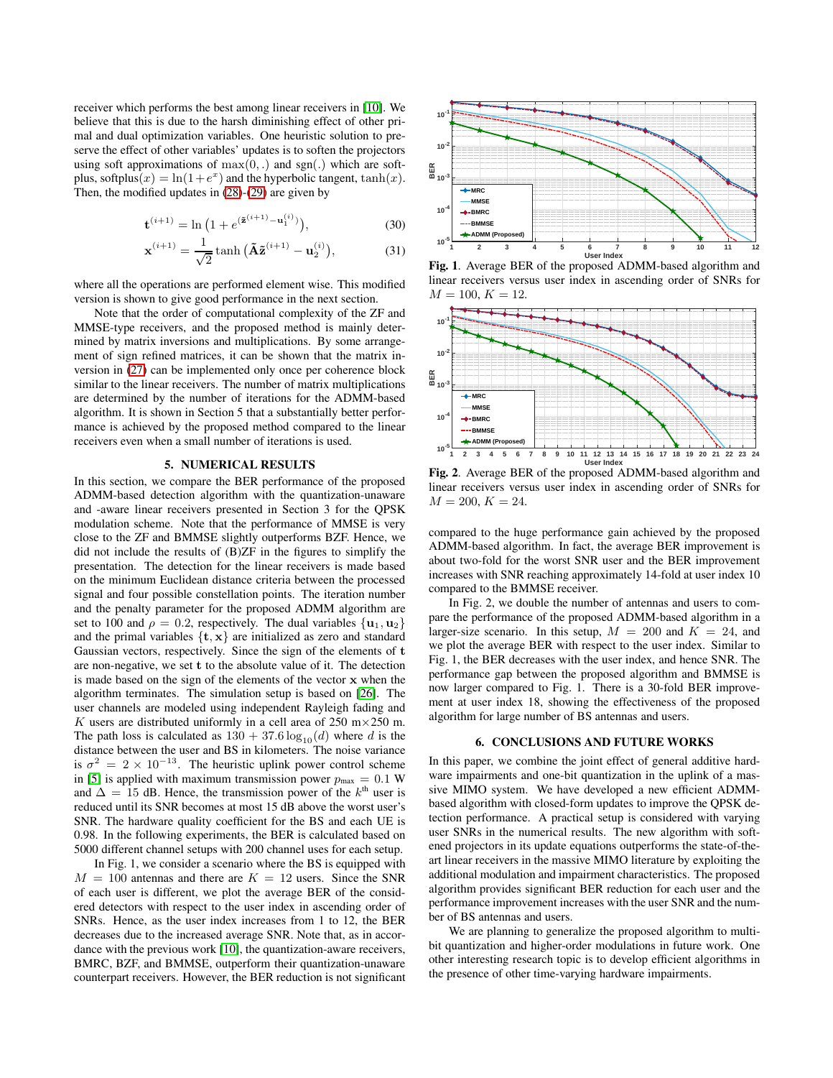receiver which performs the best among linear receivers in [\[10\]](#page-4-13). We believe that this is due to the harsh diminishing effect of other primal and dual optimization variables. One heuristic solution to preserve the effect of other variables' updates is to soften the projectors using soft approximations of  $max(0,.)$  and  $sgn(.)$  which are softplus, softplus $(x) = \ln(1 + e^x)$  and the hyperbolic tangent,  $\tanh(x)$ . Then, the modified updates in [\(28\)](#page-2-4)-[\(29\)](#page-2-5) are given by

$$
\mathbf{t}^{(i+1)} = \ln\left(1 + e^{(\tilde{\mathbf{z}}^{(i+1)} - \mathbf{u}_1^{(i)})}\right),\tag{30}
$$

$$
\mathbf{x}^{(i+1)} = \frac{1}{\sqrt{2}} \tanh\big(\tilde{\mathbf{A}}\tilde{\mathbf{z}}^{(i+1)} - \mathbf{u}_2^{(i)}\big),\tag{31}
$$

where all the operations are performed element wise. This modified version is shown to give good performance in the next section.

Note that the order of computational complexity of the ZF and MMSE-type receivers, and the proposed method is mainly determined by matrix inversions and multiplications. By some arrangement of sign refined matrices, it can be shown that the matrix inversion in [\(27\)](#page-2-6) can be implemented only once per coherence block similar to the linear receivers. The number of matrix multiplications are determined by the number of iterations for the ADMM-based algorithm. It is shown in Section 5 that a substantially better performance is achieved by the proposed method compared to the linear receivers even when a small number of iterations is used.

#### 5. NUMERICAL RESULTS

In this section, we compare the BER performance of the proposed ADMM-based detection algorithm with the quantization-unaware and -aware linear receivers presented in Section 3 for the QPSK modulation scheme. Note that the performance of MMSE is very close to the ZF and BMMSE slightly outperforms BZF. Hence, we did not include the results of (B)ZF in the figures to simplify the presentation. The detection for the linear receivers is made based on the minimum Euclidean distance criteria between the processed signal and four possible constellation points. The iteration number and the penalty parameter for the proposed ADMM algorithm are set to 100 and  $\rho = 0.2$ , respectively. The dual variables  $\{u_1, u_2\}$ and the primal variables  $\{t, x\}$  are initialized as zero and standard Gaussian vectors, respectively. Since the sign of the elements of t are non-negative, we set t to the absolute value of it. The detection is made based on the sign of the elements of the vector x when the algorithm terminates. The simulation setup is based on [\[26\]](#page-4-19). The user channels are modeled using independent Rayleigh fading and K users are distributed uniformly in a cell area of 250 m $\times$  250 m. The path loss is calculated as  $130 + 37.6 \log_{10}(d)$  where d is the distance between the user and BS in kilometers. The noise variance is  $\sigma^2 = 2 \times 10^{-13}$ . The heuristic uplink power control scheme in [\[5\]](#page-4-14) is applied with maximum transmission power  $p_{\text{max}} = 0.1 \text{ W}$ and  $\Delta = 15$  dB. Hence, the transmission power of the  $k^{\text{th}}$  user is reduced until its SNR becomes at most 15 dB above the worst user's SNR. The hardware quality coefficient for the BS and each UE is 0.98. In the following experiments, the BER is calculated based on 5000 different channel setups with 200 channel uses for each setup.

In Fig. 1, we consider a scenario where the BS is equipped with  $M = 100$  antennas and there are  $K = 12$  users. Since the SNR of each user is different, we plot the average BER of the considered detectors with respect to the user index in ascending order of SNRs. Hence, as the user index increases from 1 to 12, the BER decreases due to the increased average SNR. Note that, as in accordance with the previous work [\[10\]](#page-4-13), the quantization-aware receivers, BMRC, BZF, and BMMSE, outperform their quantization-unaware counterpart receivers. However, the BER reduction is not significant



Fig. 1. Average BER of the proposed ADMM-based algorithm and linear receivers versus user index in ascending order of SNRs for  $M = 100, K = 12.$ 



Fig. 2. Average BER of the proposed ADMM-based algorithm and linear receivers versus user index in ascending order of SNRs for  $M = 200, K = 24.$ 

compared to the huge performance gain achieved by the proposed ADMM-based algorithm. In fact, the average BER improvement is about two-fold for the worst SNR user and the BER improvement increases with SNR reaching approximately 14-fold at user index 10 compared to the BMMSE receiver.

In Fig. 2, we double the number of antennas and users to compare the performance of the proposed ADMM-based algorithm in a larger-size scenario. In this setup,  $M = 200$  and  $K = 24$ , and we plot the average BER with respect to the user index. Similar to Fig. 1, the BER decreases with the user index, and hence SNR. The performance gap between the proposed algorithm and BMMSE is now larger compared to Fig. 1. There is a 30-fold BER improvement at user index 18, showing the effectiveness of the proposed algorithm for large number of BS antennas and users.

## 6. CONCLUSIONS AND FUTURE WORKS

In this paper, we combine the joint effect of general additive hardware impairments and one-bit quantization in the uplink of a massive MIMO system. We have developed a new efficient ADMMbased algorithm with closed-form updates to improve the QPSK detection performance. A practical setup is considered with varying user SNRs in the numerical results. The new algorithm with softened projectors in its update equations outperforms the state-of-theart linear receivers in the massive MIMO literature by exploiting the additional modulation and impairment characteristics. The proposed algorithm provides significant BER reduction for each user and the performance improvement increases with the user SNR and the number of BS antennas and users.

We are planning to generalize the proposed algorithm to multibit quantization and higher-order modulations in future work. One other interesting research topic is to develop efficient algorithms in the presence of other time-varying hardware impairments.